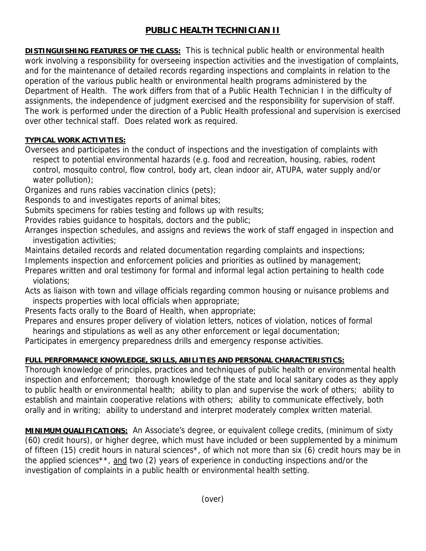## **PUBLIC HEALTH TECHNICIAN II**

**DISTINGUISHING FEATURES OF THE CLASS:** This is technical public health or environmental health work involving a responsibility for overseeing inspection activities and the investigation of complaints, and for the maintenance of detailed records regarding inspections and complaints in relation to the operation of the various public health or environmental health programs administered by the Department of Health. The work differs from that of a Public Health Technician I in the difficulty of assignments, the independence of judgment exercised and the responsibility for supervision of staff. The work is performed under the direction of a Public Health professional and supervision is exercised over other technical staff. Does related work as required.

## **TYPICAL WORK ACTIVITIES:**

Oversees and participates in the conduct of inspections and the investigation of complaints with respect to potential environmental hazards (e.g. food and recreation, housing, rabies, rodent control, mosquito control, flow control, body art, clean indoor air, ATUPA, water supply and/or water pollution);

Organizes and runs rabies vaccination clinics (pets);

Responds to and investigates reports of animal bites;

Submits specimens for rabies testing and follows up with results;

Provides rabies guidance to hospitals, doctors and the public;

Arranges inspection schedules, and assigns and reviews the work of staff engaged in inspection and investigation activities;

Maintains detailed records and related documentation regarding complaints and inspections; Implements inspection and enforcement policies and priorities as outlined by management;

Prepares written and oral testimony for formal and informal legal action pertaining to health code violations;

Acts as liaison with town and village officials regarding common housing or nuisance problems and inspects properties with local officials when appropriate;

Presents facts orally to the Board of Health, when appropriate;

Prepares and ensures proper delivery of violation letters, notices of violation, notices of formal hearings and stipulations as well as any other enforcement or legal documentation;

Participates in emergency preparedness drills and emergency response activities.

## **FULL PERFORMANCE KNOWLEDGE, SKILLS, ABILITIES AND PERSONAL CHARACTERISTICS:**

Thorough knowledge of principles, practices and techniques of public health or environmental health inspection and enforcement; thorough knowledge of the state and local sanitary codes as they apply to public health or environmental health; ability to plan and supervise the work of others; ability to establish and maintain cooperative relations with others; ability to communicate effectively, both orally and in writing; ability to understand and interpret moderately complex written material.

**MINIMUM QUALIFICATIONS:** An Associate's degree, or equivalent college credits, (minimum of sixty (60) credit hours), or higher degree, which must have included or been supplemented by a minimum of fifteen (15) credit hours in natural sciences\*, of which not more than six (6) credit hours may be in the applied sciences<sup>\*\*</sup>, and two (2) years of experience in conducting inspections and/or the investigation of complaints in a public health or environmental health setting.